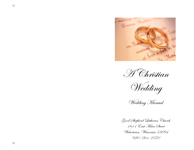



Wedding

Wedding Manual

Good Shepherd Lutheran Church 1611 East Main Street Watertown, Wisconsin 53094 920/261 -2570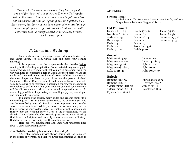*Two are better than one, because they have a good reward for their toil. For if they fall, one will lift up his fellow. But woe to him who is alone when he falls and has not another to lift him up! Again, if two lie together, they keep warm, but how can one keep warm alone? And though a man might prevail against one who is alone, two will withstand him—a threefold cord is not quickly broken. Ecclesiastes 4:9-12*

# *A Christian Wedding*

Congratulations on your engagement! May our Loving God and Jesus Christ, His Son, watch over and bless your coming marriage!

It is important that the couple reads this booklet before sending in the Wedding Application. Some material may not apply to your wedding, but it is important that you are in agreement with the way weddings are performed here at Good Shepherd before plans are made and time and money are invested. Your wedding day is one of the most important dates in your lives. As the pastor of Good Shepherd Lutheran Church, I am pleased to share this occasion with you. By deciding to be married at a Christian church, you are showing your relatives and friends that your wedding day and your marriage will be Christ-centered. All of us at Good Shepherd want to do everything possible to help make your wedding a joyous, meaningful and memorable experience.

In planning the service, many brides and grooms think, "It is my wedding, isn't it?" In a very narrow sense, the answer is yes. You are the ones being married. But in a more important and broader sense, the answer is no. While you have control over many of the things regarding your wedding day (i.e. whether or not to have an isle runner, etc) the wedding service itself is the responsibility of the church. The Christian church's worship practices are determined by God, based on Scripture, and tested by almost 2,000 years of history. God clearly asserts ownership over the wedding service.

Here are five fundamental and important understandings about a Christian wedding service.

# **1) A Christian wedding is a service of worship!**

A Christian worship service always insists that God be placed at the center of worship, and that we direct predominant attention to

# APPENDIX I

Scripture lessons

Typically, one Old Testament Lesson, one Epistle, and one Gospel Lesson is chosen. Suggested Texts:

# **Old Testament**

Numbers  $6:22-27$  Psalm 103 Psalm 23 Psalm 127:1 Psalm 31:1-5 Isaiah 41:10

Genesis 2:18-24 Psalm 37:3-7a Isaiah 54:10<br>Numbers 6:22-27 Psalm 103 Isaiah 62:5b Joshua 24:15 Psalm 118:14 Jeremiah 17:7-8 Ruth 1:15-17 Psalm 121 Jeremiah 31:3 Psalm 27 Proverbs 3:5,6

# **Gospel**

Matthew 6:25-34 Luke 14:20 Matthew 7:24-29 Luke 24:28-29 Matthew 19:3-6 John 2:1-11 Matthew 28:16-20 John 10:11 Luke 10:38-42 John 10:27-30

# **Epistle**

Romans 8:28-32 Ephesians 5:21-33 Romans 12:9-18 Hebrews 13:4-5 1 Corinthians 11:11-12 James 3:3-12 1 Corinthians 13:1-13 Revelation 19:9 Ephesians 4:32-5:2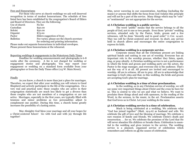# Fees and Honorariums

For those who serve at church weddings we ask well deserved recognition in terms of modest honorariums. The schedule of fees listed here has been established by the congregation's Board of Elders and Board of Directors. They are the following:

| Use of church    | No fee                                      |
|------------------|---------------------------------------------|
| Custodian        | \$50.00                                     |
| Soloist          | \$50.00                                     |
| Organist         | \$75.00                                     |
| Pastor           | Elders suggestion of \$125                  |
| <b>Bulletins</b> | Fee varies; please see the church secretary |
|                  | for ordering and printing information.      |

Please make out separate honorariums in individual envelopes. Please present these honorariums at the rehearsal.

## Reporting weddings & engagements to the Watertown Daily Times

Deadline for wedding announcements and photographs is 6-8 weeks after the ceremony. A fee is not charged for wedding or engagement stories and photographs. You may report your engagement or wedding on a standard form available from your photographer or from the Daily Times office (115 W. Main Street).

# Finally

As you know, a church is more than just a place for marriages. Therefore, we expect that after your wedding you will return to Good Shepherd and actively participate in the life of the congregation. On a very real and practical note: those couples who are active in their congregation statistically are much less likely to get a divorce than those couples who are not members of a congregation or are not active. Marriages, especially in the first years, are typically filled with tensions and minor problems as two personalities adjust to complement one another. During this time, a church home greatly increases the possibility of a lasting union.

May Almighty God bless your marriage and all your hopes for a Christ-centered future! Go with God and with joy through life together!

Him, never wavering in our concentration. Anything (including the music) or anyone that shifts the focus from God violates this principle and will not be a part of the service. Many things which may be "cute" or "sentimental" are not appropriate for the service.

# **2) A Christian wedding is a public service.**

The word "public" means that the service belongs to all the people of God, not to one or two people. Even those "private" wedding services, attended only by the Pastor, bride, groom and a few witnesses, will be done "decently and in good order" (1 Cor. 14:40). They too will be Christ-centered and reverent. In short, any service held in church allows and encourages the entire congregation to express its faith.

## **3) A Christian wedding is a corporate service.**

Corporate means that all the Christians present are linking spiritual hands and uniting in one act of worship. Everyone has an important role in the worship process, whether they listen, speak, sing, or pray silently. A Christian wedding service is not a performance in which the bride and groom and wedding party are the actors, the Pastor is the stage manager, and everyone else is the audience. That's not the way of it at all. All present are invited and encouraged to worship. All are to witness. All are to pray. All are to acknowledge that marriage is God's idea and that, in this wedding, the bride and groom are accepting God's plan for marriage.

# **4) A Christian wedding is a time of clear proclamation.**

In the wedding, as in any Christian service of worship, we will say some very important things about Christ and the cross he bore for us. This is central to who we are and what we believe. We want to proclaim these things aloud and with openness, in the reading of the Word, in the sermon, in the music, in the art. Proclamation asserts that God loves us in Christ. Let your wedding do the same.

# **5) A Christian wedding service is a time of celebration.**

Much is being celebrated at a wedding. We celebrate what "God has joined together" (Matt. 19:4-6) as husband and wife. We celebrate the gift of love and the blessing of marriage. We celebrate a rare reunion of family and friends. We celebrate Christ's death and resurrection. . . for us. We celebrate the promises of the Lord that He will never abandon His children or forsake them. Celebration is essential to the wedding and gives texture to the service. The wedding service is a planned, organized service of celebration which remembers and reflects on all the causes of celebration.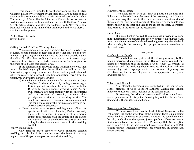This booklet is intended to assist your planning of a Christian wedding. Please try to remember that these rules are in place so that your wedding ceremony will be a Christ-centered service of worship. The ministry of Good Shepherd Lutheran Church is not to perform wedding ceremonies, but to nourish marriages with the Good News of Christ, before, during and after the wedding itself. May yours be a beautiful wedding in the name of the Triune God and to His glory . . . and for your happiness.

Pastor David K. Groth Senior Pastor

#### Getting Started With Your Wedding Plans

While membership in Good Shepherd Lutheran Church is not required of both persons, at least one or the other must be an active member or pursuing active membership. As divorce is directly against the will of God (Matthew 19:6), and it can be a barrier to re-marriage. However, if the divorcee sees his/her sin and seeks God's forgiveness, the grace of God takes this barrier away.

If the congregation's marriage policy is agreeable to you, then return the Wedding Application Form. The Pastor will act on this information, approving the schedule of your wedding and rehearsal. After you receive the approved "Wedding Application Form" from the pastor, you will want to do the following:

- 1) Immediately make arrangements for an organist at Good Shepherd Lutheran Church by calling 920-261-2570. It is important to establish early contact with the Director to begin planning wedding music. As our own organists are most familiar with the instrument and the service of worship, normally their participation is vital at the wedding service. The couple is encouraged to use our own soloists as well. The couple may supply their own soloist, provided he/ she can perform adequately.
- 2) Three months prior to your wedding date, call for an appointment with the officiating Pastor. Normally there will be about 3 meetings of pre-marital counseling scheduled with the couple and the pastor. You may call him or the church secretary at any time to inquire about details not covered in this wedding booklet.

### Your Wedding Team

Only resident called pastors of Good Shepherd conduct weddings at this church. In some instances, the Senior Pastor may request one of the part-time pastors to conduct a wedding.

## Flowers for the Mothers

Two single roses (fresh cut) may be placed on the altar rail. Following the benediction at the close of the ceremony, the bride and groom may carry the roses to their mothers seated on either side of the aisle in the front pew. The organist plays quietly as the couple goes first to the bride's mother and then to the groom's mother. Thereafter, they regroup in the center for the recessional.

#### Guest Book

If a guest book is desired, the couple shall provide it. A stand in the narthex may be used for this book. We suggest placing the stand near the main entrance of the church so that guests may sign the book when arriving for the ceremony. It is proper to have an attendant at the guest book.

# DECORUM

#### Conduct in the Church

We surely have no right to ask the blessing of Almighty God upon a marriage which ignores Him in His own house. You and your guests are reminded that the church is God's House. All present at rehearsals and the wedding should conduct themselves with the reverent joy that is appropriate for the occasion of joining two Christians together in love. Joy and love are appropriate; levity and lewdness are not.

#### Tobacco and Alcohol

\*No alcoholic beverages are permitted in the church and school premises of Good Shepherd Lutheran Church and School, indoors or outdoors. This is inclusive of the parking areas.

If necessary, the bride and groom should inform their friends and acquaintances of this policy. Smoking is prohibited inside Good Shepherd Lutheran Church and School.

#### Receptions at Good Shepherd

Wedding receptions may be held at Good Shepherd in the Fellowship Hall on the lower level of the building. There is no building fee for holding the reception at church. However, the custodians must be paid, in addition to the \$50 fee, \$10.00 per hour. There are certain limitations attached to the use of the Fellowship Hall. No reception can go past 5:30 PM, as there is a worship service upstairs at 6:00 PM. (Sound travels!) Alcoholic beverages are prohibited on church and school property.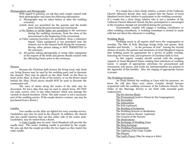# Photographers and Photographs

With regard to pictures, we ask that each couple counsel with their photographer and share the following information:

- 1) Photographs may be taken before or after the wedding ceremony.
- 2)Aisle shots are permitted for the parents and the bridal party during the processional and recessional.
- 3) No flashes or strobe lights are permitted in the sanctuary during the wedding ceremony, from the close of the processional to the beginning of the recessional.
- 4) Video cameras/recorders are permitted from a stationery tripod. Video equipment is not permitted near the chancel, nor in the chancel itself during the ceremony. Roving video picture taking is NOT PERMITTED in the sanctuary.
- 5) All parties taking photographs or using video equipment at the request of the bride and groom should counsel with the officiating Pastor prior to the ceremony.

# Flowers

Because the Christian faith honors the living Lord, only fresh cut, living flowers may be used by the wedding party and to decorate the chancel. They may be placed on the Altar itself, on the floor in front of the Altar, in front of the of the lectern, or on the flower stand behind the Altar. Floral pieces should NOT be used to decorate the communion rail.

The rows of chairs along the center of the aisle may be decorated. We have clips that may be used to attach bows. DO NOT use nails, screws, wire, or any other fastener which may damage the varnish of church furniture. (Note: The aisle runner is not a necessary part of the wedding service. If the couple desires a runner, one may be purchased from a florist.)

# Candles

Two candles on the Altar are lighted for every worship service. Candelabra may also be used in the chancel. In addition, the church also has candle lanterns that can line either side of the center aisle. Candelabra may be rented from a florist.

A Unity Candle may be used. Good Shepherd will provide the candle base. The center wedding candle is provided by the couple. We also ask that the couple provides the two tapers so they match the unity candle.

If a couple has a close clergy relative, a pastor of the Lutheran Church--Missouri Synod, they may request that the Pastor of Good Shepherd invite their relative to participate in the wedding ceremony. If a couple has a close clergy relative who is not a member of the Lutheran Church-Missouri Synod, his/her participation is encouraged at the reception, though not permitted during the ceremony.

Occasionally, couples will engage a wedding coordinator or other wedding consultants. A wedding consultant is invited to assist with but not direct the rehearsal or wedding.

# Wedding Music

Wedding music in all aspects shall serve the congregation at worship. The Rite of Holy Marriage brings bride and groom, their families and friends, ". . .in the presence of God." Among the myriad choices of music, the pastors and musicians at Good Shepherd request that wedding music be appropriate for a service of public worship, honoring the Triune God, and expressive of Christian faith in God.

In this regard, couples should consult with the assigned organist at Good Shepherd before making final selections of wedding music. A sample of appropriate selections for processional and recessional, solo pieces, and works for instrumentalists are printed in the Appendix of this booklet. Also, the singing of appropriate hymns is proper.

# The Wedding Ceremony

As Christ blessed the wedding at Cana with his presence, we know He will also bless your union. Couples should become acquainted with the wedding ceremony of the Lutheran Church. The Order of the Marriage Service is set forth with essential parts underscored.

The Pre-Service Music

The Processional (and/or Hymn by the Congregation) The Invocation The Admonition The Solo (optional) The Reading of Scriptures The Wedding Sermon or Meditation The Solo (and/or Hymn) (optional) The Consent of the Parents The Declarations The Exchange of Wedding Vows The Ring Exchange The Wedding Pronouncement The Lighting of the Unity Candle The Prayers The Lord's Prayer (May be sung as a Solo)